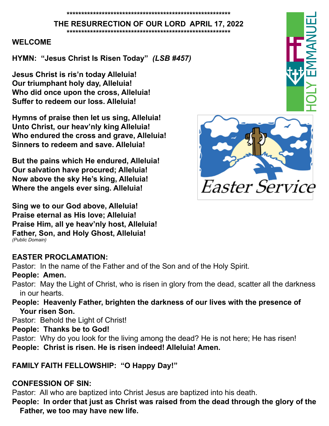**THE RESURRECTION OF OUR LORD APRIL 17, 2022 \*\*\*\*\*\*\*\*\*\*\*\*\*\*\*\*\*\*\*\*\*\*\*\*\*\*\*\*\*\*\*\*\*\*\*\*\*\*\*\*\*\*\*\*\*\*\*\*\*\*\*\*\*\*\*\***

#### **WELCOME**

**HYMN: "Jesus Christ Is Risen Today"** *(LSB #457)*

**Jesus Christ is ris'n today Alleluia! Our triumphant holy day, Alleluia! Who did once upon the cross, Alleluia! Suffer to redeem our loss. Alleluia!**

**Hymns of praise then let us sing, Alleluia! Unto Christ, our heav'nly king Alleluia! Who endured the cross and grave, Alleluia! Sinners to redeem and save. Alleluia!**

**But the pains which He endured, Alleluia! Our salvation have procured; Alleluia! Now above the sky He's king, Alleluia! Where the angels ever sing. Alleluia!**

**Sing we to our God above, Alleluia! Praise eternal as His love; Alleluia! Praise Him, all ye heav'nly host, Alleluia! Father, Son, and Holy Ghost, Alleluia!** *(Public Domain)*

#### **EASTER PROCLAMATION:**

Pastor: In the name of the Father and of the Son and of the Holy Spirit.

#### **People: Amen.**

Pastor: May the Light of Christ, who is risen in glory from the dead, scatter all the darkness in our hearts.

**People: Heavenly Father, brighten the darkness of our lives with the presence of Your risen Son.** 

Pastor: Behold the Light of Christ!

#### **People: Thanks be to God!**

Pastor: Why do you look for the living among the dead? He is not here; He has risen! **People: Christ is risen. He is risen indeed! Alleluia! Amen.** 

## **FAMILY FAITH FELLOWSHIP: "O Happy Day!"**

## **CONFESSION OF SIN:**

Pastor: All who are baptized into Christ Jesus are baptized into his death. **People: In order that just as Christ was raised from the dead through the glory of the Father, we too may have new life.** 

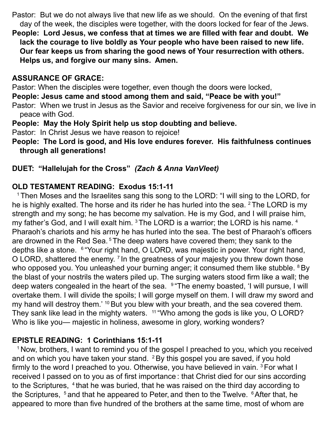Pastor: But we do not always live that new life as we should. On the evening of that first day of the week, the disciples were together, with the doors locked for fear of the Jews.

**People: Lord Jesus, we confess that at times we are filled with fear and doubt. We lack the courage to live boldly as Your people who have been raised to new life. Our fear keeps us from sharing the good news of Your resurrection with others. Helps us, and forgive our many sins. Amen.** 

## **ASSURANCE OF GRACE:**

Pastor: When the disciples were together, even though the doors were locked,

**People: Jesus came and stood among them and said, "Peace be with you!"**

Pastor: When we trust in Jesus as the Savior and receive forgiveness for our sin, we live in peace with God.

**People: May the Holy Spirit help us stop doubting and believe.**

Pastor: In Christ Jesus we have reason to rejoice!

**People: The Lord is good, and His love endures forever. His faithfulness continues through all generations!**

## **DUET: "Hallelujah for the Cross"** *(Zach & Anna VanVleet)*

## **OLD TESTAMENT READING: Exodus 15:1-11**

<sup>1</sup> Then Moses and the Israelites sang this song to the LORD: "I will sing to the LORD, for he is highly exalted. The horse and its rider he has hurled into the sea.  $2$  The LORD is my strength and my song; he has become my salvation. He is my God, and I will praise him, my father's God, and I will exalt him.  $3$  The LORD is a warrior; the LORD is his name.  $4$ Pharaoh's chariots and his army he has hurled into the sea. The best of Pharaoh's officers are drowned in the Red Sea.<sup>5</sup> The deep waters have covered them; they sank to the depths like a stone. 6 "Your right hand, O LORD, was majestic in power. Your right hand, O LORD, shattered the enemy.<sup>7</sup> In the greatness of your majesty you threw down those who opposed you. You unleashed your burning anger; it consumed them like stubble. <sup>8</sup> By the blast of your nostrils the waters piled up. The surging waters stood firm like a wall; the deep waters congealed in the heart of the sea. <sup>9</sup> "The enemy boasted, 'I will pursue, I will overtake them. I will divide the spoils; I will gorge myself on them. I will draw my sword and my hand will destroy them.<sup>' 10</sup> But you blew with your breath, and the sea covered them. They sank like lead in the mighty waters. <sup>11</sup> "Who among the gods is like you, O LORD? Who is like you— majestic in holiness, awesome in glory, working wonders?

## **EPISTLE READING: 1 Corinthians 15:1-11**

<sup>1</sup> Now, brothers, I want to remind you of the gospel I preached to you, which you received and on which you have taken your stand.  $2$  By this gospel you are saved, if you hold firmly to the word I preached to you. Otherwise, you have believed in vain. 3 For what I received I passed on to you as of first importance : that Christ died for our sins according to the Scriptures, <sup>4</sup> that he was buried, that he was raised on the third day according to the Scriptures,  $5$  and that he appeared to Peter, and then to the Twelve.  $6$  After that, he appeared to more than five hundred of the brothers at the same time, most of whom are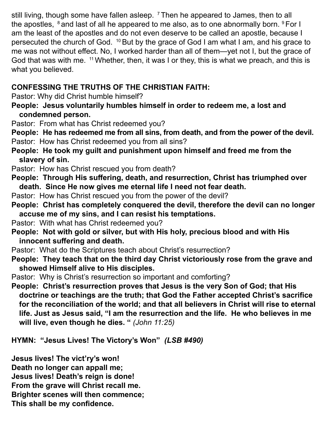still living, though some have fallen asleep. <sup>7</sup> Then he appeared to James, then to all the apostles, 8 and last of all he appeared to me also, as to one abnormally born. 9 For I am the least of the apostles and do not even deserve to be called an apostle, because I persecuted the church of God. 10 But by the grace of God I am what I am, and his grace to me was not without effect. No, I worked harder than all of them—yet not I, but the grace of God that was with me. <sup>11</sup> Whether, then, it was I or they, this is what we preach, and this is what you believed.

## **CONFESSING THE TRUTHS OF THE CHRISTIAN FAITH:**

Pastor: Why did Christ humble himself?

- **People: Jesus voluntarily humbles himself in order to redeem me, a lost and condemned person.**
- Pastor: From what has Christ redeemed you?

**People: He has redeemed me from all sins, from death, and from the power of the devil.** Pastor: How has Christ redeemed you from all sins?

- **People: He took my guilt and punishment upon himself and freed me from the slavery of sin.**
- Pastor: How has Christ rescued you from death?
- **People: Through His suffering, death, and resurrection, Christ has triumphed over death. Since He now gives me eternal life I need not fear death.**
- Pastor: How has Christ rescued you from the power of the devil?
- **People: Christ has completely conquered the devil, therefore the devil can no longer accuse me of my sins, and I can resist his temptations.**
- Pastor: With what has Christ redeemed you?
- **People: Not with gold or silver, but with His holy, precious blood and with His innocent suffering and death.**
- Pastor: What do the Scriptures teach about Christ's resurrection?
- **People: They teach that on the third day Christ victoriously rose from the grave and showed Himself alive to His disciples.**
- Pastor: Why is Christ's resurrection so important and comforting?

**People: Christ's resurrection proves that Jesus is the very Son of God; that His doctrine or teachings are the truth; that God the Father accepted Christ's sacrifice for the reconciliation of the world; and that all believers in Christ will rise to eternal life. Just as Jesus said, "I am the resurrection and the life. He who believes in me will live, even though he dies. "** *(John 11:25)*

**HYMN: "Jesus Lives! The Victory's Won"** *(LSB #490)*

**Jesus lives! The vict'ry's won! Death no longer can appall me; Jesus lives! Death's reign is done! From the grave will Christ recall me. Brighter scenes will then commence; This shall be my confidence.**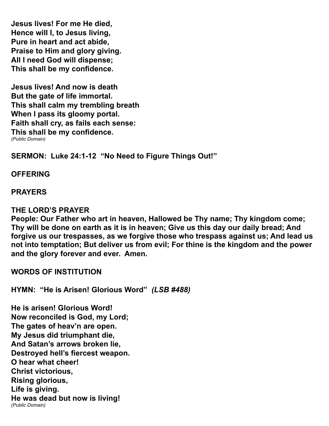**Jesus lives! For me He died, Hence will I, to Jesus living, Pure in heart and act abide, Praise to Him and glory giving. All I need God will dispense; This shall be my confidence.** 

**Jesus lives! And now is death But the gate of life immortal. This shall calm my trembling breath When I pass its gloomy portal. Faith shall cry, as fails each sense: This shall be my confidence.**  *(Public Domain)*

**SERMON: Luke 24:1-12 "No Need to Figure Things Out!"**

#### **OFFERING**

#### **PRAYERS**

#### **THE LORD'S PRAYER**

**People: Our Father who art in heaven, Hallowed be Thy name; Thy kingdom come; Thy will be done on earth as it is in heaven; Give us this day our daily bread; And forgive us our trespasses, as we forgive those who trespass against us; And lead us not into temptation; But deliver us from evil; For thine is the kingdom and the power and the glory forever and ever. Amen.** 

**WORDS OF INSTITUTION**

**HYMN: "He is Arisen! Glorious Word"** *(LSB #488)*

**He is arisen! Glorious Word! Now reconciled is God, my Lord; The gates of heav'n are open. My Jesus did triumphant die, And Satan's arrows broken lie, Destroyed hell's fiercest weapon. O hear what cheer! Christ victorious, Rising glorious, Life is giving. He was dead but now is living!** *(Public Domain)*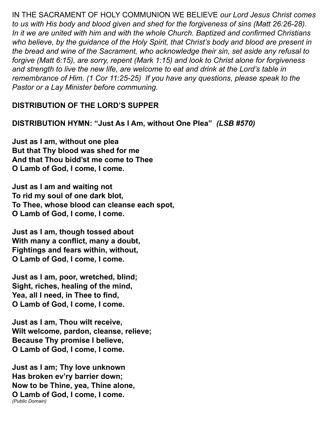IN THE SACRAMENT OF HOLY COMMUNION WE BELIEVE *our Lord Jesus Christ comes to us with His body and blood given and shed for the forgiveness of sins (Matt 26:26-28). In it we are united with him and with the whole Church. Baptized and confirmed Christians who believe, by the guidance of the Holy Spirit, that Christ's body and blood are present in the bread and wine of the Sacrament, who acknowledge their sin, set aside any refusal to forgive (Matt 6:15), are sorry, repent (Mark 1:15) and look to Christ alone for forgiveness and strength to live the new life, are welcome to eat and drink at the Lord's table in remembrance of Him. (1 Cor 11:25-25) If you have any questions, please speak to the Pastor or a Lay Minister before communing.*

## **DISTRIBUTION OF THE LORD'S SUPPER**

**DISTRIBUTION HYMN: "Just As I Am, without One Plea"** *(LSB #570)*

**Just as I am, without one plea But that Thy blood was shed for me And that Thou bidd'st me come to Thee O Lamb of God, I come, I come.**

**Just as I am and waiting not To rid my soul of one dark blot, To Thee, whose blood can cleanse each spot, O Lamb of God, I come, I come.**

**Just as I am, though tossed about With many a conflict, many a doubt, Fightings and fears within, without, O Lamb of God, I come, I come.**

**Just as I am, poor, wretched, blind; Sight, riches, healing of the mind, Yea, all I need, in Thee to find, O Lamb of God, I come, I come.**

**Just as I am, Thou wilt receive, Wilt welcome, pardon, cleanse, relieve; Because Thy promise I believe, O Lamb of God, I come, I come.**

**Just as I am; Thy love unknown Has broken ev'ry barrier down; Now to be Thine, yea, Thine alone, O Lamb of God, I come, I come.** *(Public Domain)*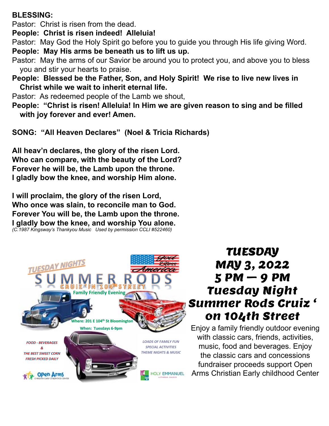#### **BLESSING:**

Pastor: Christ is risen from the dead.

**People: Christ is risen indeed! Alleluia!**

Pastor: May God the Holy Spirit go before you to guide you through His life giving Word. **People: May His arms be beneath us to lift us up.**

- Pastor: May the arms of our Savior be around you to protect you, and above you to bless you and stir your hearts to praise.
- **People: Blessed be the Father, Son, and Holy Spirit! We rise to live new lives in Christ while we wait to inherit eternal life.**

Pastor: As redeemed people of the Lamb we shout,

**People: "Christ is risen! Alleluia! In Him we are given reason to sing and be filled with joy forever and ever! Amen.** 

**SONG: "All Heaven Declares" (Noel & Tricia Richards)**

**All heav'n declares, the glory of the risen Lord. Who can compare, with the beauty of the Lord? Forever he will be, the Lamb upon the throne. I gladly bow the knee, and worship Him alone.**

**I will proclaim, the glory of the risen Lord, Who once was slain, to reconcile man to God. Forever You will be, the Lamb upon the throne. I gladly bow the knee, and worship You alone.** *(C.1987 Kingsway's Thankyou Music Used by permission CCLI #522460)*



# TUESDAY MAY 3, 2022 5 PM – 9 PM Tuesday Night Summer Rods Cruiz ' on 104th Street

Enjoy a family friendly outdoor evening with classic cars, friends, activities, music, food and beverages. Enjoy the classic cars and concessions fundraiser proceeds support Open Arms Christian Early childhood Center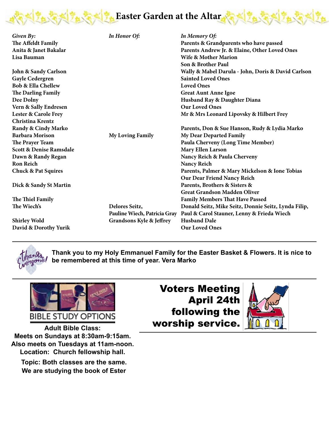

| Given By:                            | In Honor Of:                        | In Memory Of:                                        |
|--------------------------------------|-------------------------------------|------------------------------------------------------|
| The Affeldt Family                   |                                     | Parents & Grandparents who have passed               |
|                                      |                                     | Parents Andrew Jr. & Elaine, Other Loved Ones        |
| Anita & Janet Bakalar<br>Lisa Bauman |                                     | Wife & Mother Marion                                 |
|                                      |                                     |                                                      |
|                                      |                                     | Son & Brother Paul                                   |
| <b>John &amp; Sandy Carlson</b>      |                                     | Wally & Mabel Darula - John, Doris & David Carlson   |
| <b>Gayle Cedergren</b>               |                                     | <b>Sainted Loved Ones</b>                            |
| <b>Bob &amp; Ella Chellew</b>        |                                     | <b>Loved Ones</b>                                    |
| The Darling Family                   |                                     | <b>Great Aunt Anne Igoe</b>                          |
| Dee Dolny                            |                                     | Husband Ray & Daughter Diana                         |
| Vern & Sally Endresen                |                                     | <b>Our Loved Ones</b>                                |
| <b>Lester &amp; Carole Frey</b>      |                                     | Mr & Mrs Leonard Lipovsky & Hilbert Frey             |
| Christina Krentz                     |                                     |                                                      |
| Randy & Cindy Marko                  |                                     | Parents, Don & Sue Hanson, Rudy & Lydia Marko        |
| <b>Barbara Morison</b>               | <b>My Loving Family</b>             | My Dear Departed Family                              |
| The Prayer Team                      |                                     | Paula Cherveny (Long Time Member)                    |
| Scott & Denise Ramsdale              |                                     | <b>Mary Ellen Larson</b>                             |
| Dawn & Randy Regan                   |                                     | Nancy Reich & Paula Cherveny                         |
| <b>Ron Reich</b>                     |                                     | <b>Nancy Reich</b>                                   |
| <b>Chuck &amp; Pat Squires</b>       |                                     | Parents, Palmer & Mary Mickelson & Ione Tobias       |
|                                      |                                     | Our Dear Friend Nancy Reich                          |
| Dick & Sandy St Martin               |                                     | Parents, Brothers & Sisters &                        |
|                                      |                                     | <b>Great Grandson Madden Oliver</b>                  |
| The Thiel Family                     |                                     | <b>Family Members That Have Passed</b>               |
| The Wiech's                          | Delores Seitz,                      | Donald Seitz, Mike Seitz, Donnie Seitz, Lynda Filip, |
|                                      | Pauline Wiech, Patricia Gray        | Paul & Carol Stauner, Lenny & Frieda Wiech           |
|                                      |                                     | <b>Husband Dale</b>                                  |
| <b>Shirley Wold</b>                  | <b>Grandsons Kyle &amp; Jeffrey</b> | <b>Our Loved Ones</b>                                |
| David & Dorothy Yurik                |                                     |                                                      |



**Thank you to my Holy Emmanuel Family for the Easter Basket & Flowers. It is nice to be remembered at this time of year. Vera Marko**



**Adult Bible Class: Meets on Sundays at 8:30am-9:15am. Also meets on Tuesdays at 11am-noon. Also meets on Tuesdays at 11am-noon.** Location: Church fellowship hall. **Adult Bible Class: Meets on Sundays at 8:30am-9:15am. Adult Bible Class: Meets on Tuesuays at Fiam-Noon.**<br>Leoction - Church followskin hell **ALUSTRATION Meets on Sundays at 8:30am-9:15am.** 

Topic: Both classes are the same. We are studying the book of Ester

Voters Meeting April 24th following the worship service.